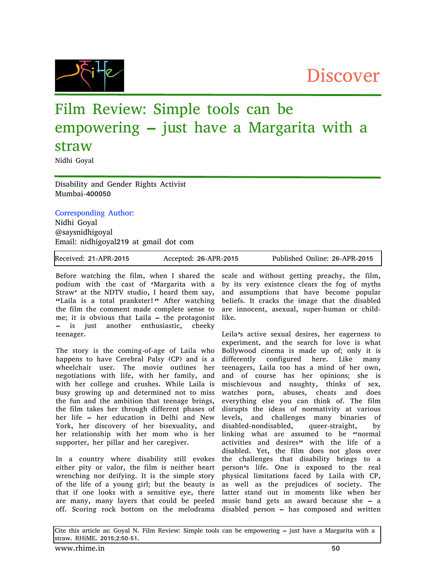## Discover

## Film Review: Simple tools can be empowering – just have a Margarita with a straw

Nidhi Goyal

Disability and Gender Rights Activist Mumbai-400050

## Corresponding Author:

Nidhi Goyal @saysnidhigoyal Email: nidhigoyal219 at gmail dot com

| Received: 21-APR-2015 | Accepted: 26-APR-2015 | Published Online: 26-APR-2015 |
|-----------------------|-----------------------|-------------------------------|
|                       |                       |                               |

Before watching the film, when I shared the podium with the cast of 'Margarita with a Straw' at the NDTV studio, I heard them say, "Laila is a total prankster!" After watching the film the comment made complete sense to me; it is obvious that Laila – the protagonist – is just another enthusiastic, cheeky teenager.

The story is the coming-of-age of Laila who happens to have Cerebral Palsy (CP) and is a wheelchair user. The movie outlines her negotiations with life, with her family, and with her college and crushes. While Laila is busy growing up and determined not to miss the fun and the ambition that teenage brings, the film takes her through different phases of her life – her education in Delhi and New York, her discovery of her bisexuality, and her relationship with her mom who is her supporter, her pillar and her caregiver.

In a country where disability still evokes either pity or valor, the film is neither heart wrenching nor deifying. It is the simple story of the life of a young girl; but the beauty is that if one looks with a sensitive eye, there are many, many layers that could be peeled off. Scoring rock bottom on the melodrama disabled person – has composed and written

scale and without getting preachy, the film, by its very existence clears the fog of myths and assumptions that have become popular beliefs. It cracks the image that the disabled are innocent, asexual, super-human or childlike.

Leila's active sexual desires, her eagerness to experiment, and the search for love is what Bollywood cinema is made up of; only it is differently configured here. Like many teenagers, Laila too has a mind of her own, and of course has her opinions; she is mischievous and naughty, thinks of sex, watches porn, abuses, cheats and does everything else you can think of. The film disrupts the ideas of normativity at various levels, and challenges many binaries of disabled-nondisabled, queer-straight, by linking what are assumed to be "normal activities and desires" with the life of a disabled. Yet, the film does not gloss over the challenges that disability brings to a person's life. One is exposed to the real physical limitations faced by Laila with CP, as well as the prejudices of society. The latter stand out in moments like when her music band gets an award because she – a

Cite this article as: Goyal N. Film Review: Simple tools can be empowering – just have a Margarita with a straw. RHiME. 2015;2:50-51.